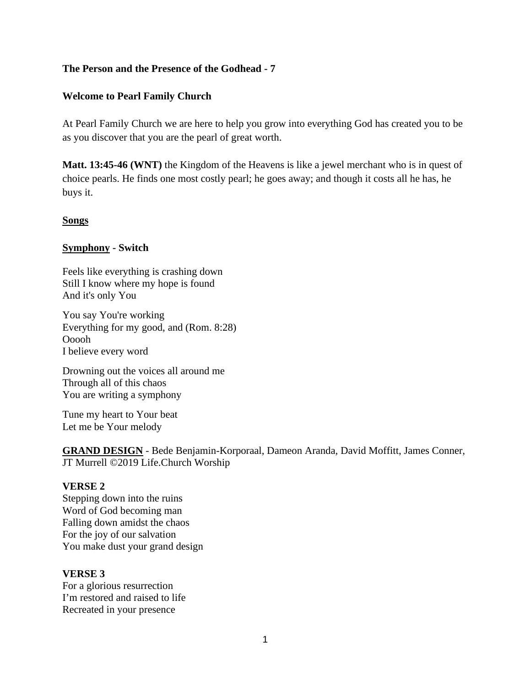### **The Person and the Presence of the Godhead - 7**

### **Welcome to Pearl Family Church**

At Pearl Family Church we are here to help you grow into everything God has created you to be as you discover that you are the pearl of great worth.

**Matt. 13:45-46 (WNT)** the Kingdom of the Heavens is like a jewel merchant who is in quest of choice pearls. He finds one most costly pearl; he goes away; and though it costs all he has, he buys it.

### **Songs**

### **Symphony - Switch**

Feels like everything is crashing down Still I know where my hope is found And it's only You

You say You're working Everything for my good, and (Rom. 8:28) Ooooh I believe every word

Drowning out the voices all around me Through all of this chaos You are writing a symphony

Tune my heart to Your beat Let me be Your melody

**GRAND DESIGN** - Bede Benjamin-Korporaal, Dameon Aranda, David Moffitt, James Conner, JT Murrell ©2019 Life.Church Worship

### **VERSE 2**

Stepping down into the ruins Word of God becoming man Falling down amidst the chaos For the joy of our salvation You make dust your grand design

### **VERSE 3**

For a glorious resurrection I'm restored and raised to life Recreated in your presence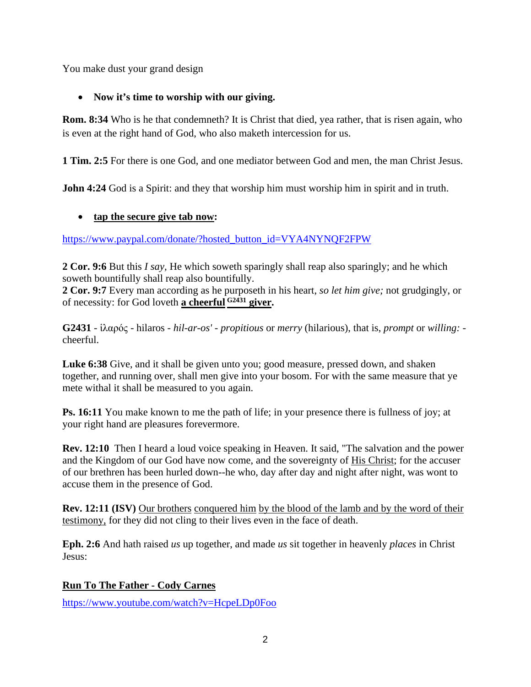You make dust your grand design

# • **Now it's time to worship with our giving.**

**Rom. 8:34** Who is he that condemneth? It is Christ that died, yea rather, that is risen again, who is even at the right hand of God, who also maketh intercession for us.

**1 Tim. 2:5** For there is one God, and one mediator between God and men, the man Christ Jesus.

**John 4:24** God is a Spirit: and they that worship him must worship him in spirit and in truth.

## • **tap the secure give tab now:**

[https://www.paypal.com/donate/?hosted\\_button\\_id=VYA4NYNQF2FPW](https://www.paypal.com/donate/?hosted_button_id=VYA4NYNQF2FPW)

**2 Cor. 9:6** But this *I say,* He which soweth sparingly shall reap also sparingly; and he which soweth bountifully shall reap also bountifully.

**2 Cor. 9:7** Every man according as he purposeth in his heart, *so let him give;* not grudgingly, or of necessity: for God loveth **a cheerful G2431 giver.** 

**G2431** - ἱλαρός - hilaros - *hil-ar-os'* - *propitious* or *merry* (hilarious), that is, *prompt* or *willing:* cheerful.

**Luke 6:38** Give, and it shall be given unto you; good measure, pressed down, and shaken together, and running over, shall men give into your bosom. For with the same measure that ye mete withal it shall be measured to you again.

**Ps. 16:11** You make known to me the path of life; in your presence there is fullness of joy; at your right hand are pleasures forevermore.

**Rev. 12:10** Then I heard a loud voice speaking in Heaven. It said, "The salvation and the power and the Kingdom of our God have now come, and the sovereignty of His Christ; for the accuser of our brethren has been hurled down--he who, day after day and night after night, was wont to accuse them in the presence of God.

**Rev. 12:11 (ISV)** Our brothers conquered him by the blood of the lamb and by the word of their testimony, for they did not cling to their lives even in the face of death.

**Eph. 2:6** And hath raised *us* up together, and made *us* sit together in heavenly *places* in Christ Jesus:

# **Run To The Father - Cody Carnes**

<https://www.youtube.com/watch?v=HcpeLDp0Foo>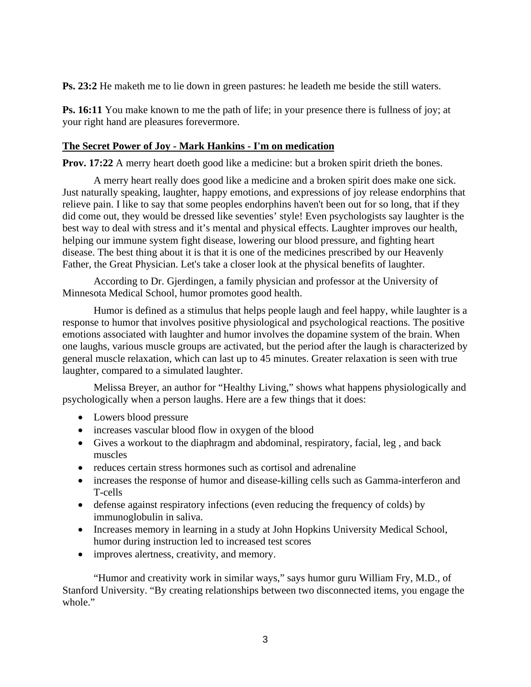**Ps. 23:2** He maketh me to lie down in green pastures: he leadeth me beside the still waters.

**Ps. 16:11** You make known to me the path of life; in your presence there is fullness of joy; at your right hand are pleasures forevermore.

## **The Secret Power of Joy - Mark Hankins - I'm on medication**

**Prov. 17:22** A merry heart doeth good like a medicine: but a broken spirit drieth the bones.

A merry heart really does good like a medicine and a broken spirit does make one sick. Just naturally speaking, laughter, happy emotions, and expressions of joy release endorphins that relieve pain. I like to say that some peoples endorphins haven't been out for so long, that if they did come out, they would be dressed like seventies' style! Even psychologists say laughter is the best way to deal with stress and it's mental and physical effects. Laughter improves our health, helping our immune system fight disease, lowering our blood pressure, and fighting heart disease. The best thing about it is that it is one of the medicines prescribed by our Heavenly Father, the Great Physician. Let's take a closer look at the physical benefits of laughter.

According to Dr. Gjerdingen, a family physician and professor at the University of Minnesota Medical School, humor promotes good health.

Humor is defined as a stimulus that helps people laugh and feel happy, while laughter is a response to humor that involves positive physiological and psychological reactions. The positive emotions associated with laughter and humor involves the dopamine system of the brain. When one laughs, various muscle groups are activated, but the period after the laugh is characterized by general muscle relaxation, which can last up to 45 minutes. Greater relaxation is seen with true laughter, compared to a simulated laughter.

Melissa Breyer, an author for "Healthy Living," shows what happens physiologically and psychologically when a person laughs. Here are a few things that it does:

- Lowers blood pressure
- increases vascular blood flow in oxygen of the blood
- Gives a workout to the diaphragm and abdominal, respiratory, facial, leg , and back muscles
- reduces certain stress hormones such as cortisol and adrenaline
- increases the response of humor and disease-killing cells such as Gamma-interferon and T-cells
- defense against respiratory infections (even reducing the frequency of colds) by immunoglobulin in saliva.
- Increases memory in learning in a study at John Hopkins University Medical School, humor during instruction led to increased test scores
- improves alertness, creativity, and memory.

"Humor and creativity work in similar ways," says humor guru William Fry, M.D., of Stanford University. "By creating relationships between two disconnected items, you engage the whole."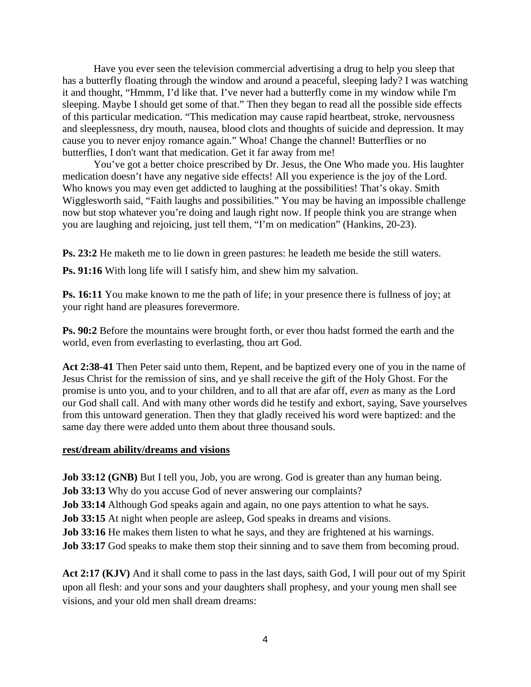Have you ever seen the television commercial advertising a drug to help you sleep that has a butterfly floating through the window and around a peaceful, sleeping lady? I was watching it and thought, "Hmmm, I'd like that. I've never had a butterfly come in my window while I'm sleeping. Maybe I should get some of that." Then they began to read all the possible side effects of this particular medication. "This medication may cause rapid heartbeat, stroke, nervousness and sleeplessness, dry mouth, nausea, blood clots and thoughts of suicide and depression. It may cause you to never enjoy romance again." Whoa! Change the channel! Butterflies or no butterflies, I don't want that medication. Get it far away from me!

You've got a better choice prescribed by Dr. Jesus, the One Who made you. His laughter medication doesn't have any negative side effects! All you experience is the joy of the Lord. Who knows you may even get addicted to laughing at the possibilities! That's okay. Smith Wigglesworth said, "Faith laughs and possibilities." You may be having an impossible challenge now but stop whatever you're doing and laugh right now. If people think you are strange when you are laughing and rejoicing, just tell them, "I'm on medication" (Hankins, 20-23).

**Ps. 23:2** He maketh me to lie down in green pastures: he leadeth me beside the still waters.

**Ps. 91:16** With long life will I satisfy him, and shew him my salvation.

**Ps. 16:11** You make known to me the path of life; in your presence there is fullness of joy; at your right hand are pleasures forevermore.

**Ps. 90:2** Before the mountains were brought forth, or ever thou hadst formed the earth and the world, even from everlasting to everlasting, thou art God.

**Act 2:38-41** Then Peter said unto them, Repent, and be baptized every one of you in the name of Jesus Christ for the remission of sins, and ye shall receive the gift of the Holy Ghost. For the promise is unto you, and to your children, and to all that are afar off, *even* as many as the Lord our God shall call. And with many other words did he testify and exhort, saying, Save yourselves from this untoward generation. Then they that gladly received his word were baptized: and the same day there were added unto them about three thousand souls.

#### **rest/dream ability/dreams and visions**

**Job 33:12 (GNB)** But I tell you, Job, you are wrong. God is greater than any human being.

**Job 33:13** Why do you accuse God of never answering our complaints?

**Job 33:14** Although God speaks again and again, no one pays attention to what he says.

**Job 33:15** At night when people are asleep, God speaks in dreams and visions.

**Job 33:16** He makes them listen to what he says, and they are frightened at his warnings.

**Job 33:17** God speaks to make them stop their sinning and to save them from becoming proud.

**Act 2:17 (KJV)** And it shall come to pass in the last days, saith God, I will pour out of my Spirit upon all flesh: and your sons and your daughters shall prophesy, and your young men shall see visions, and your old men shall dream dreams: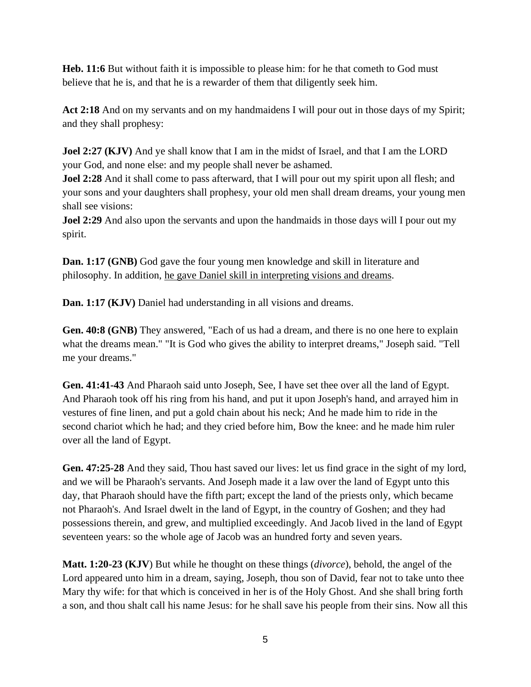**Heb. 11:6** But without faith it is impossible to please him: for he that cometh to God must believe that he is, and that he is a rewarder of them that diligently seek him.

**Act 2:18** And on my servants and on my handmaidens I will pour out in those days of my Spirit; and they shall prophesy:

**Joel 2:27 (KJV)** And ye shall know that I am in the midst of Israel, and that I am the LORD your God, and none else: and my people shall never be ashamed.

**Joel 2:28** And it shall come to pass afterward, that I will pour out my spirit upon all flesh; and your sons and your daughters shall prophesy, your old men shall dream dreams, your young men shall see visions:

**Joel 2:29** And also upon the servants and upon the handmaids in those days will I pour out my spirit.

**Dan. 1:17 (GNB)** God gave the four young men knowledge and skill in literature and philosophy. In addition, he gave Daniel skill in interpreting visions and dreams.

**Dan. 1:17 (KJV)** Daniel had understanding in all visions and dreams.

**Gen. 40:8 (GNB)** They answered, "Each of us had a dream, and there is no one here to explain what the dreams mean." "It is God who gives the ability to interpret dreams," Joseph said. "Tell me your dreams."

**Gen. 41:41-43** And Pharaoh said unto Joseph, See, I have set thee over all the land of Egypt. And Pharaoh took off his ring from his hand, and put it upon Joseph's hand, and arrayed him in vestures of fine linen, and put a gold chain about his neck; And he made him to ride in the second chariot which he had; and they cried before him, Bow the knee: and he made him ruler over all the land of Egypt.

**Gen. 47:25-28** And they said, Thou hast saved our lives: let us find grace in the sight of my lord, and we will be Pharaoh's servants. And Joseph made it a law over the land of Egypt unto this day, that Pharaoh should have the fifth part; except the land of the priests only, which became not Pharaoh's. And Israel dwelt in the land of Egypt, in the country of Goshen; and they had possessions therein, and grew, and multiplied exceedingly. And Jacob lived in the land of Egypt seventeen years: so the whole age of Jacob was an hundred forty and seven years.

**Matt. 1:20-23 (KJV**) But while he thought on these things (*divorce*), behold, the angel of the Lord appeared unto him in a dream, saying, Joseph, thou son of David, fear not to take unto thee Mary thy wife: for that which is conceived in her is of the Holy Ghost. And she shall bring forth a son, and thou shalt call his name Jesus: for he shall save his people from their sins. Now all this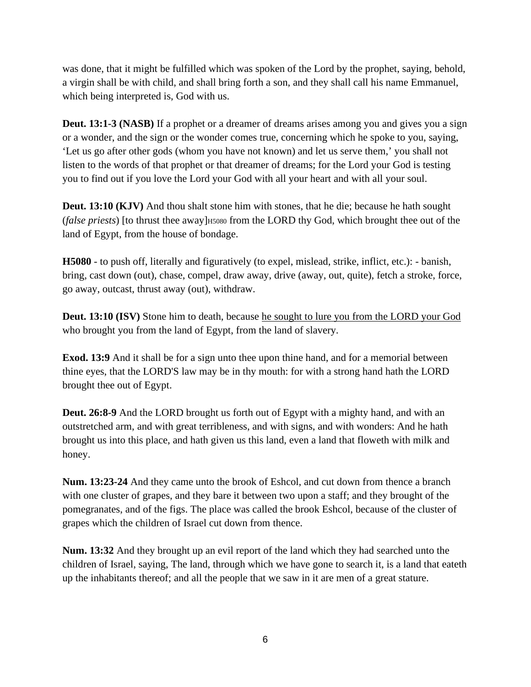was done, that it might be fulfilled which was spoken of the Lord by the prophet, saying, behold, a virgin shall be with child, and shall bring forth a son, and they shall call his name Emmanuel, which being interpreted is, God with us.

**Deut. 13:1-3 (NASB)** If a prophet or a dreamer of dreams arises among you and gives you a sign or a wonder, and the sign or the wonder comes true, concerning which he spoke to you, saying, 'Let us go after other gods (whom you have not known) and let us serve them,' you shall not listen to the words of that prophet or that dreamer of dreams; for the Lord your God is testing you to find out if you love the Lord your God with all your heart and with all your soul.

**Deut. 13:10 (KJV)** And thou shalt stone him with stones, that he die; because he hath sought (*false priests*) [to thrust thee away]H5080 from the LORD thy God, which brought thee out of the land of Egypt, from the house of bondage.

**H5080** - to push off, literally and figuratively (to expel, mislead, strike, inflict, etc.): - banish, bring, cast down (out), chase, compel, draw away, drive (away, out, quite), fetch a stroke, force, go away, outcast, thrust away (out), withdraw.

**Deut. 13:10 (ISV)** Stone him to death, because he sought to lure you from the LORD your God who brought you from the land of Egypt, from the land of slavery.

**Exod. 13:9** And it shall be for a sign unto thee upon thine hand, and for a memorial between thine eyes, that the LORD'S law may be in thy mouth: for with a strong hand hath the LORD brought thee out of Egypt.

**Deut. 26:8-9** And the LORD brought us forth out of Egypt with a mighty hand, and with an outstretched arm, and with great terribleness, and with signs, and with wonders: And he hath brought us into this place, and hath given us this land, even a land that floweth with milk and honey.

**Num. 13:23-24** And they came unto the brook of Eshcol, and cut down from thence a branch with one cluster of grapes, and they bare it between two upon a staff; and they brought of the pomegranates, and of the figs. The place was called the brook Eshcol, because of the cluster of grapes which the children of Israel cut down from thence.

**Num. 13:32** And they brought up an evil report of the land which they had searched unto the children of Israel, saying, The land, through which we have gone to search it, is a land that eateth up the inhabitants thereof; and all the people that we saw in it are men of a great stature.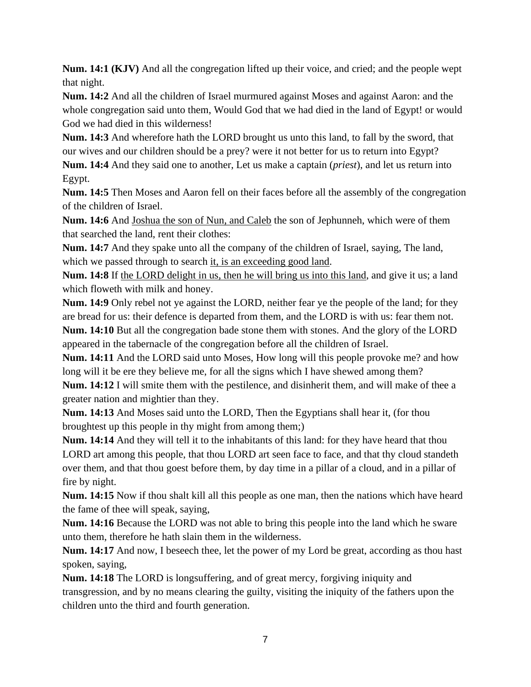**Num. 14:1 (KJV)** And all the congregation lifted up their voice, and cried; and the people wept that night.

**Num. 14:2** And all the children of Israel murmured against Moses and against Aaron: and the whole congregation said unto them, Would God that we had died in the land of Egypt! or would God we had died in this wilderness!

**Num. 14:3** And wherefore hath the LORD brought us unto this land, to fall by the sword, that our wives and our children should be a prey? were it not better for us to return into Egypt?

**Num. 14:4** And they said one to another, Let us make a captain (*priest*), and let us return into Egypt.

**Num. 14:5** Then Moses and Aaron fell on their faces before all the assembly of the congregation of the children of Israel.

**Num. 14:6** And Joshua the son of Nun, and Caleb the son of Jephunneh, which were of them that searched the land, rent their clothes:

**Num. 14:7** And they spake unto all the company of the children of Israel, saying, The land, which we passed through to search it, is an exceeding good land.

**Num. 14:8** If the LORD delight in us, then he will bring us into this land, and give it us; a land which floweth with milk and honey.

**Num. 14:9** Only rebel not ye against the LORD, neither fear ye the people of the land; for they are bread for us: their defence is departed from them, and the LORD is with us: fear them not.

**Num. 14:10** But all the congregation bade stone them with stones. And the glory of the LORD appeared in the tabernacle of the congregation before all the children of Israel.

**Num. 14:11** And the LORD said unto Moses, How long will this people provoke me? and how long will it be ere they believe me, for all the signs which I have shewed among them?

**Num. 14:12** I will smite them with the pestilence, and disinherit them, and will make of thee a greater nation and mightier than they.

**Num. 14:13** And Moses said unto the LORD, Then the Egyptians shall hear it, (for thou broughtest up this people in thy might from among them;)

**Num. 14:14** And they will tell it to the inhabitants of this land: for they have heard that thou LORD art among this people, that thou LORD art seen face to face, and that thy cloud standeth over them, and that thou goest before them, by day time in a pillar of a cloud, and in a pillar of fire by night.

**Num. 14:15** Now if thou shalt kill all this people as one man, then the nations which have heard the fame of thee will speak, saying,

**Num. 14:16** Because the LORD was not able to bring this people into the land which he sware unto them, therefore he hath slain them in the wilderness.

**Num. 14:17** And now, I beseech thee, let the power of my Lord be great, according as thou hast spoken, saying,

**Num. 14:18** The LORD is longsuffering, and of great mercy, forgiving iniquity and transgression, and by no means clearing the guilty, visiting the iniquity of the fathers upon the children unto the third and fourth generation.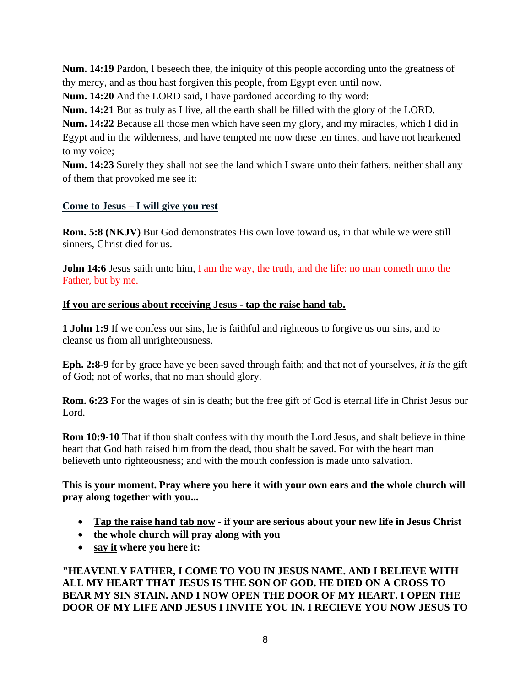**Num. 14:19** Pardon, I beseech thee, the iniquity of this people according unto the greatness of thy mercy, and as thou hast forgiven this people, from Egypt even until now.

**Num. 14:20** And the LORD said, I have pardoned according to thy word:

**Num. 14:21** But as truly as I live, all the earth shall be filled with the glory of the LORD.

**Num. 14:22** Because all those men which have seen my glory, and my miracles, which I did in Egypt and in the wilderness, and have tempted me now these ten times, and have not hearkened to my voice;

**Num. 14:23** Surely they shall not see the land which I sware unto their fathers, neither shall any of them that provoked me see it:

## **Come to Jesus – I will give you rest**

**Rom. 5:8 (NKJV)** But God demonstrates His own love toward us, in that while we were still sinners, Christ died for us.

**John 14:6** Jesus saith unto him, I am the way, the truth, and the life: no man cometh unto the Father, but by me.

## **If you are serious about receiving Jesus - tap the raise hand tab.**

**1 John 1:9** If we confess our sins, he is faithful and righteous to forgive us our sins, and to cleanse us from all unrighteousness.

**Eph. 2:8-9** for by grace have ye been saved through faith; and that not of yourselves, *it is* the gift of God; not of works, that no man should glory.

**Rom. 6:23** For the wages of sin is death; but the free gift of God is eternal life in Christ Jesus our Lord.

**Rom 10:9-10** That if thou shalt confess with thy mouth the Lord Jesus, and shalt believe in thine heart that God hath raised him from the dead, thou shalt be saved. For with the heart man believeth unto righteousness; and with the mouth confession is made unto salvation.

## **This is your moment. Pray where you here it with your own ears and the whole church will pray along together with you...**

- **Tap the raise hand tab now - if your are serious about your new life in Jesus Christ**
- **the whole church will pray along with you**
- **say it where you here it:**

**"HEAVENLY FATHER, I COME TO YOU IN JESUS NAME. AND I BELIEVE WITH ALL MY HEART THAT JESUS IS THE SON OF GOD. HE DIED ON A CROSS TO BEAR MY SIN STAIN. AND I NOW OPEN THE DOOR OF MY HEART. I OPEN THE DOOR OF MY LIFE AND JESUS I INVITE YOU IN. I RECIEVE YOU NOW JESUS TO**